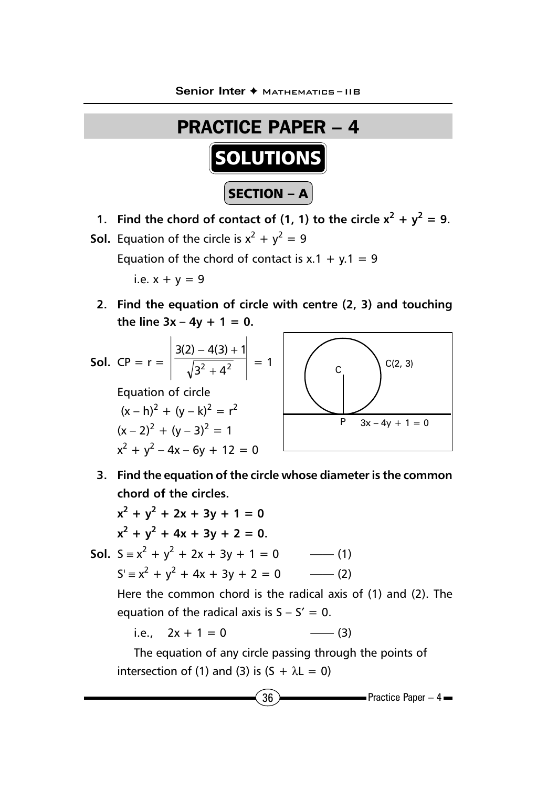

- **1.** Find the chord of contact of (1, 1) to the circle  $x^2 + y^2 = 9$ .
- **Sol.** Equation of the circle is  $x^2 + y^2 = 9$ Equation of the chord of contact is  $x.1 + y.1 = 9$ i.e.  $x + y = 9$ 
	- **2. Find the equation of circle with centre (2, 3) and touching** the line  $3x - 4y + 1 = 0$ .

**Sol.** CP = 
$$
r = \left| \frac{3(2) - 4(3) + 1}{\sqrt{3^2 + 4^2}} \right| = 1
$$
  
\nEquation of circle  
\n $(x - h)^2 + (y - k)^2 = r^2$   
\n $(x - 2)^2 + (y - 3)^2 = 1$   
\n $x^2 + y^2 - 4x - 6y + 12 = 0$ 

**3. Find the equation of the circle whose diameter is the common chord of the circles.**

$$
x^{2} + y^{2} + 2x + 3y + 1 = 0
$$
  
\n
$$
x^{2} + y^{2} + 4x + 3y + 2 = 0.
$$
  
\nSol. 
$$
S = x^{2} + y^{2} + 2x + 3y + 1 = 0
$$
 (1)  
\n
$$
S' = x^{2} + y^{2} + 4x + 3y + 2 = 0
$$
 (2)  
\nHere the common chord is the radical axis of (1) and (2). The equation of the radical axis is  $S - S' = 0$ .  
\ni.e.,  $2x + 1 = 0$  (3)

The equation of any circle passing through the points of intersection of (1) and (3) is  $(S + \lambda L = 0)$ 

 $\sim$  36  $\sim$  Practice Paper – 4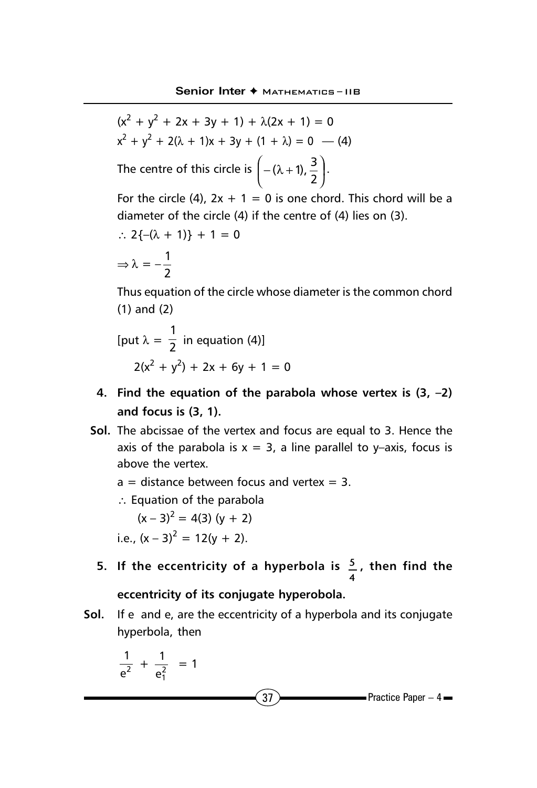l

$$
(x2 + y2 + 2x + 3y + 1) + \lambda(2x + 1) = 0
$$
  
x<sup>2</sup> + y<sup>2</sup> + 2(\lambda + 1)x + 3y + (1 + \lambda) = 0 \t(4)  
The centre of this circle is  $\left( -(\lambda + 1), \frac{3}{2} \right)$ .

For the circle (4),  $2x + 1 = 0$  is one chord. This chord will be a diameter of the circle (4) if the centre of (4) lies on (3).

 $\overline{)}$ 

2

$$
\therefore 2\{-(\lambda + 1)\} + 1 = 0
$$

$$
\Rightarrow \lambda = -\frac{1}{2}
$$

Thus equation of the circle whose diameter is the common chord (1) and (2)

[put 
$$
\lambda = \frac{1}{2}
$$
 in equation (4)]  
 $2(x^2 + y^2) + 2x + 6y + 1 = 0$ 

- **4. Find the equation of the parabola whose vertex is (3, –2) and focus is (3, 1).**
- **Sol.** The abcissae of the vertex and focus are equal to 3. Hence the axis of the parabola is  $x = 3$ , a line parallel to y–axis, focus is above the vertex.
	- $a =$  distance between focus and vertex = 3.
	- ∴ Equation of the parabola

$$
(x-3)^2 = 4(3) (y + 2)
$$
  
i.e.,  $(x-3)^2 = 12(y + 2)$ .

**5. If the eccentricity of a hyperbola is 5 4 , then find the**

## **eccentricity of its conjugate hyperobola.**

**Sol.** If e and e, are the eccentricity of a hyperbola and its conjugate hyperbola, then

$$
\frac{1}{e^2} + \frac{1}{e_1^2} = 1
$$

 $37$  Practice Paper – 4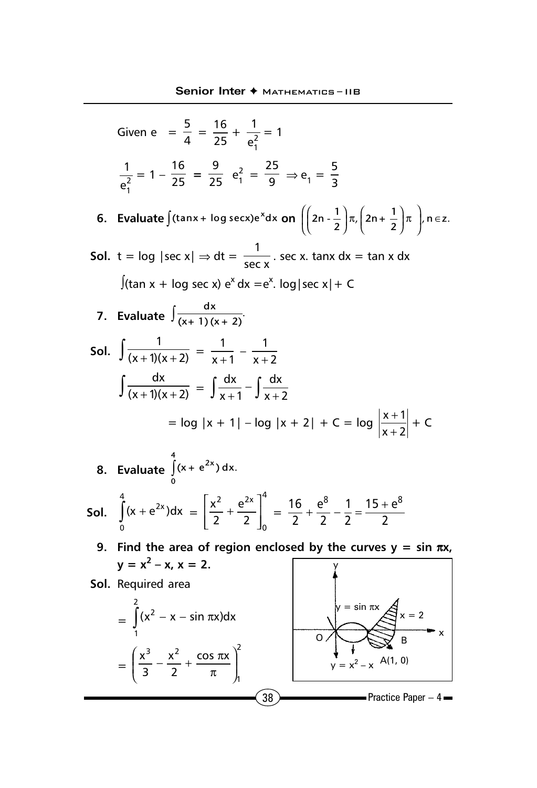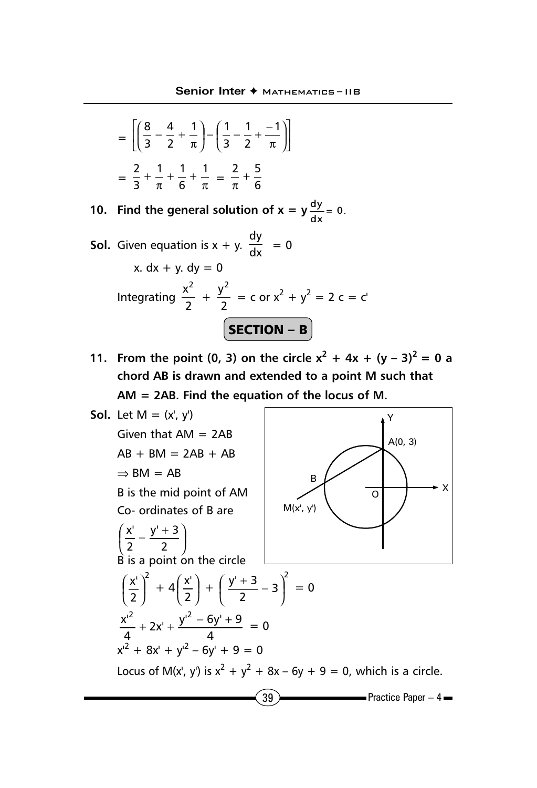$$
= \left[ \left( \frac{8}{3} - \frac{4}{2} + \frac{1}{\pi} \right) - \left( \frac{1}{3} - \frac{1}{2} + \frac{-1}{\pi} \right) \right]
$$

$$
= \frac{2}{3} + \frac{1}{\pi} + \frac{1}{6} + \frac{1}{\pi} = \frac{2}{\pi} + \frac{5}{6}
$$

**10.** Find the general solution of  $x = y \frac{dy}{dx} = 0$ .

**Sol.** Given equation is 
$$
x + y
$$
.  $\frac{dy}{dx} = 0$   
\n $x. dx + y. dy = 0$   
\nIntegrating  $\frac{x^2}{2} + \frac{y^2}{2} = c$  or  $x^2 + y^2 = 2$   $c = c'$   
\n**SECTION - B**

**11.** From the point (0, 3) on the circle  $x^2 + 4x + (y - 3)^2 = 0$  a **chord AB is drawn and extended to a point M such that AM = 2AB. Find the equation of the locus of M.**

**Sol.** Let M = (x', y')  
\nGiven that AM = 2AB  
\nAB + BM = 2AB + AB  
\n
$$
\Rightarrow
$$
 BM = AB  
\nB is the mid point of AM  
\nCo- ordinates of B are  
\n
$$
\left(\frac{x'}{2} - \frac{y' + 3}{2}\right)
$$
\nB is a point on the circle  
\n
$$
\left(\frac{x'}{2}\right)^2 + 4\left(\frac{x'}{2}\right) + \left(\frac{y' + 3}{2} - 3\right)^2 = 0
$$
\n
$$
\frac{x'^2}{4} + 2x' + \frac{y'^2 - 6y' + 9}{4} = 0
$$
\n
$$
x'^2 + 8x' + y'^2 - 6y' + 9 = 0
$$
\nLocus of M(x', y') is  $x^2 + y^2 + 8x - 6y + 9 = 0$ , which is a circle.  
\n39  
\nPractice Paper - 4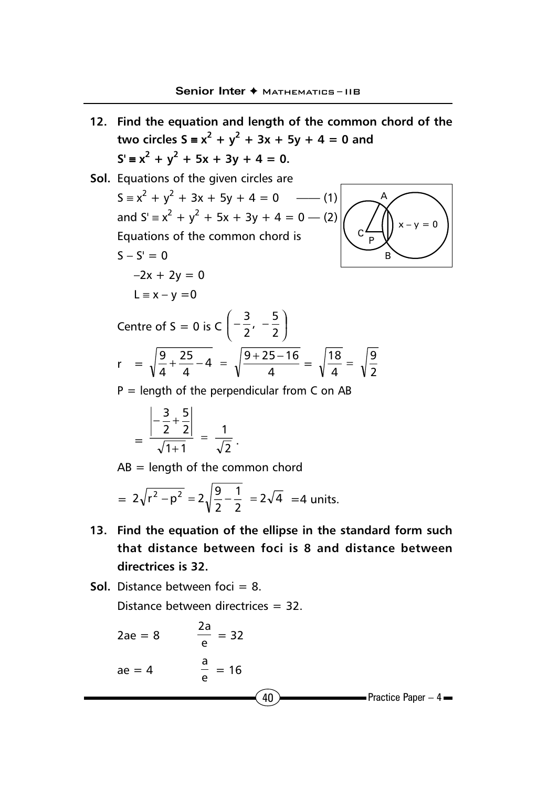- **12. Find the equation and length of the common chord of the two circles S** ≡  $x^2$  +  $y^2$  + 3x + 5y + 4 = 0 and  $S' = x^2 + y^2 + 5x + 3y + 4 = 0.$
- **Sol.** Equations of the given circles are  $S = x^2 + y^2 + 3x + 5y + 4 = 0$  —— (1) and  $S' \equiv x^2 + y^2 + 5x + 3y + 4 = 0$  — (2) Equations of the common chord is  $S - S' = 0$  $-2x + 2y = 0$  $L \equiv x - y = 0$ Centre of S = 0 is C  $\left(-\frac{2}{2}, -\frac{2}{2}\right)$  $\left(-\frac{3}{2}, -\frac{5}{3}\right)$ l  $\left(-\frac{3}{2}, -\frac{5}{2}\right)$ 3  $r = \sqrt{\frac{9}{4} + \frac{25}{4}} - 4 = \sqrt{\frac{9+25-16}{4}}$ 25  $\frac{9}{4} + \frac{25}{4} - 4 = \sqrt{\frac{9+25-16}{4}} = \sqrt{\frac{18}{4}} = \sqrt{\frac{9}{2}}$  $\frac{18}{4}$  = A C P B  $x - y = 0$

 $P =$  length of the perpendicular from C on AB

$$
= \frac{\left|-\frac{3}{2}+\frac{5}{2}\right|}{\sqrt{1+1}} = \frac{1}{\sqrt{2}}.
$$

 $AB =$  length of the common chord

$$
= 2\sqrt{r^2 - p^2} = 2\sqrt{\frac{9}{2} - \frac{1}{2}} = 2\sqrt{4} = 4 \text{ units.}
$$

- **13. Find the equation of the ellipse in the standard form such that distance between foci is 8 and distance between directrices is 32.**
- **Sol.** Distance between foci = 8. Distance between directrices = 32.

2ae = 8 
$$
\frac{2a}{e} = 32
$$
  
ae = 4  $\frac{a}{e} = 16$    
40   
Practice Paper - 4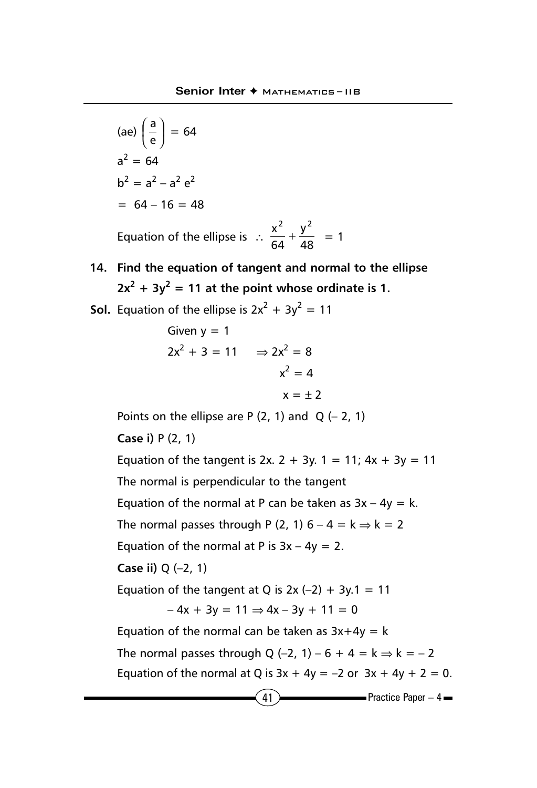(ae) 
$$
\left(\frac{a}{e}\right) = 64
$$
  
\n $a^2 = 64$   
\n $b^2 = a^2 - a^2 e^2$   
\n= 64 - 16 = 48  
\nEquation of the ellipse is  $\therefore \frac{x^2}{64} + \frac{y^2}{48} = 1$ 

**14. Find the equation of tangent and normal to the ellipse**  $2x^2 + 3y^2 = 11$  at the point whose ordinate is 1.

**Sol.** Equation of the ellipse is 
$$
2x^2 + 3y^2 = 11
$$

Given y = 1  
\n
$$
2x^{2} + 3 = 11 \Rightarrow 2x^{2} = 8
$$
\n
$$
x^{2} = 4
$$
\n
$$
x = \pm 2
$$

Points on the ellipse are P  $(2, 1)$  and Q  $(-2, 1)$ 

**Case i)** P (2, 1)

 $(41)$  Practice Paper – 4 Equation of the tangent is 2x. 2 + 3y. 1 = 11;  $4x + 3y = 11$ The normal is perpendicular to the tangent Equation of the normal at P can be taken as  $3x - 4y = k$ . The normal passes through P (2, 1)  $6 - 4 = k \Rightarrow k = 2$ Equation of the normal at P is  $3x - 4y = 2$ . **Case ii)** Q (–2, 1) Equation of the tangent at Q is  $2x$  (-2) +  $3y.1 = 11$  $-4x + 3y = 11 \Rightarrow 4x - 3y + 11 = 0$ Equation of the normal can be taken as  $3x+4y = k$ The normal passes through Q (–2, 1) – 6 + 4 =  $k \Rightarrow k = -2$ Equation of the normal at Q is  $3x + 4y = -2$  or  $3x + 4y + 2 = 0$ .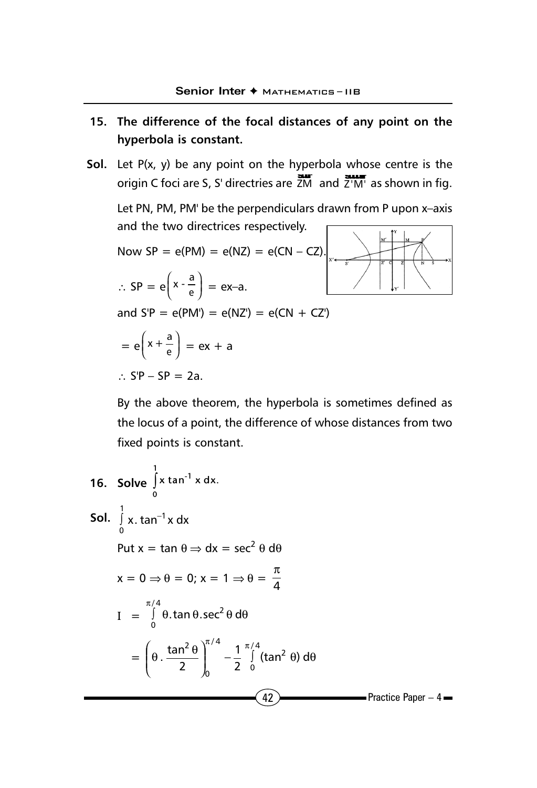## **15. The difference of the focal distances of any point on the hyperbola is constant.**

**Sol.** Let P(x, y) be any point on the hyperbola whose centre is the origin C foci are S, S' directries are  $\frac{3\pi}{2}$  and  $\frac{3\pi}{2}$  as shown in fig.

Let PN, PM, PM' be the perpendiculars drawn from P upon x–axis and the two directrices respectively.  $\sqrt{2}$  $\uparrow$   $\uparrow$   $\uparrow$  $\overline{1}$ 

Now SP = e(PM) = e(NZ) = e(CN - CZ).  
\n
$$
\therefore SP = e\left(x - \frac{a}{e}\right) = ex-a.
$$
\nand S'P = e(PM') = e(NZ') = e(CN + CZ')  
\n
$$
= e\left(x + \frac{a}{e}\right) = ex + a
$$
\n
$$
\therefore SP - SP = 2a.
$$

By the above theorem, the hyperbola is sometimes defined as the locus of a point, the difference of whose distances from two fixed points is constant.

16. Solve 
$$
\int_{0}^{1} x \tan^{-1} x dx
$$
.  
\n**Sol.**  $\int_{0}^{1} x \cdot \tan^{-1} x dx$   
\nPut  $x = \tan \theta \Rightarrow dx = \sec^{2} \theta d\theta$   
\n $x = 0 \Rightarrow \theta = 0; x = 1 \Rightarrow \theta = \frac{\pi}{4}$   
\n $I = \int_{0}^{\pi/4} \theta \cdot \tan \theta \cdot \sec^{2} \theta d\theta$   
\n $= \left(\theta \cdot \frac{\tan^{2} \theta}{2}\right)_{0}^{\pi/4} - \frac{1}{2} \int_{0}^{\pi/4} (\tan^{2} \theta) d\theta$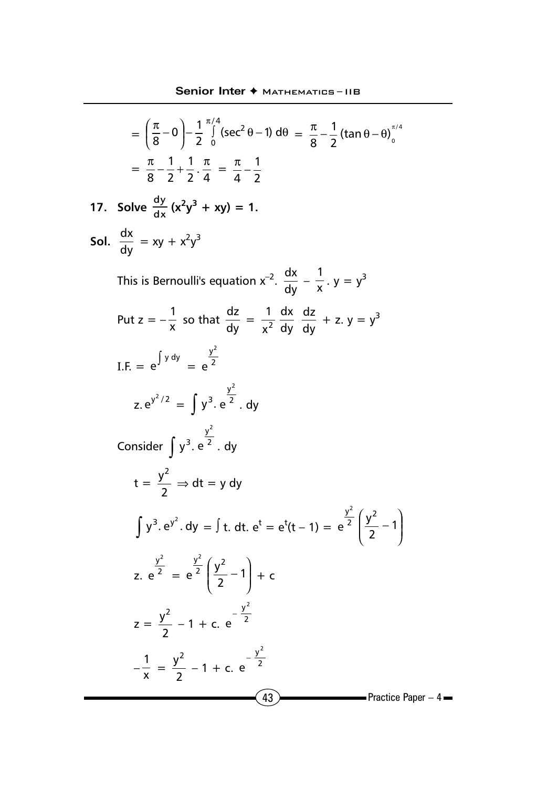$$
= \left(\frac{\pi}{8} - 0\right) - \frac{1}{2} \int_{0}^{\pi/4} (\sec^2 \theta - 1) d\theta = \frac{\pi}{8} - \frac{1}{2} (\tan \theta - \theta) \Big|_{0}^{\pi/4}
$$

$$
= \frac{\pi}{8} - \frac{1}{2} + \frac{1}{2} \cdot \frac{\pi}{4} = \frac{\pi}{4} - \frac{1}{2}
$$

17. Solve 
$$
\frac{dy}{dx}(x^2y^3 + xy) = 1
$$
.

**Sol.** 
$$
\frac{dx}{dy} = xy + x^2y^3
$$

This is Bernoulli's equation  $x^{-2}$ .  $\frac{dx}{dy} - \frac{1}{x}$ .  $y = y^3$ Put  $z = -\frac{1}{x}$  so that  $\frac{dz}{dy} = \frac{1}{x^2}$ dy dx dy  $\frac{dz}{dx}$  + z. y = y<sup>3</sup> I.F. =  $e^{\int y \,dy} = e^{\frac{y}{2}}$ y2 e z.  $e^{y^2/2} = \int y^3 \cdot e^{-2}$ y2 e <sup>2</sup> . dy Consider  $\int y^3$ . e<sup>2</sup> y<sup>2</sup> e <sup>2</sup> . dy  $t = \frac{y}{2}$  $\frac{y^2}{2} \Rightarrow dt = y dy$  $\int y^3. e^{y^2}. dy = \int t. dt. e^t = e^t(t-1) = e^{-2}$ y2  $e^{2} \left| \frac{y}{2} - 1 \right|$  $\overline{1}$  $\lambda$  $\overline{\phantom{a}}$ l  $\left(\frac{y^2}{2}-1\right)$ y2 z. e <sup>2</sup> y2  $e^2 = e^2$ y2  $e^{2} \left| \frac{y}{2} - 1 \right|$  $\big)$  $\left( \right)$  $\overline{\phantom{a}}$ l  $\left(\frac{y^2}{2}-1\right)$  $\left(\frac{y^2}{2}-1\right)+c$  $z = \frac{y}{2}$  $\frac{y^2}{2}$  – 1 + c. e<sup>- $\frac{y}{2}$ </sup> y 2 −<br>e  $-\frac{1}{x} = \frac{y^2}{2} - 1 + c. e^{-\frac{y^2}{2}}$ y 2 −<br>e

 $(43)$  Practice Paper – 4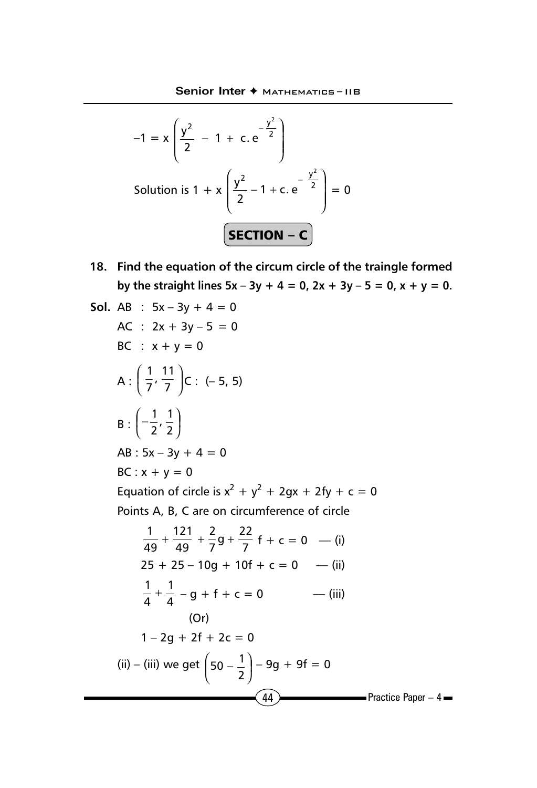$$
-1 = x \left( \frac{y^{2}}{2} - 1 + c \cdot e^{-\frac{y^{2}}{2}} \right)
$$
  
Solution is 1 + x  $\left( \frac{y^{2}}{2} - 1 + c \cdot e^{-\frac{y^{2}}{2}} \right) = 0$   
**SECTION - C**

**18. Find the equation of the circum circle of the traingle formed** by the straight lines  $5x - 3y + 4 = 0$ ,  $2x + 3y - 5 = 0$ ,  $x + y = 0$ .

Sol. AB : 
$$
5x-3y + 4 = 0
$$

\nAC :  $2x + 3y - 5 = 0$ 

\nBC :  $x + y = 0$ 

\nA :  $\left(\frac{1}{7}, \frac{11}{7}\right)C$ :  $(-5, 5)$ 

\nB :  $\left(-\frac{1}{2}, \frac{1}{2}\right)$ 

\nAB :  $5x - 3y + 4 = 0$ 

\nBC :  $x + y = 0$ 

\nEquation of circle is  $x^2 + y^2 + 2gx + 2fy + c = 0$ 

\nPoints A, B, C are on circumference of circle

\n $\frac{1}{49} + \frac{121}{49} + \frac{2}{7}g + \frac{22}{7}f + c = 0$ 

\n7.  $25 + 25 - 10g + 10f + c = 0$ 

\n8.  $\frac{1}{4} + \frac{1}{4} - g + f + c = 0$ 

\n9.  $\frac{1}{4} + \frac{1}{4} - g + f + c = 0$ 

\n1 - 2g + 2f + 2c = 0

\n(ii) – (iii) we get  $\left(50 - \frac{1}{2}\right) - 9g + 9f = 0$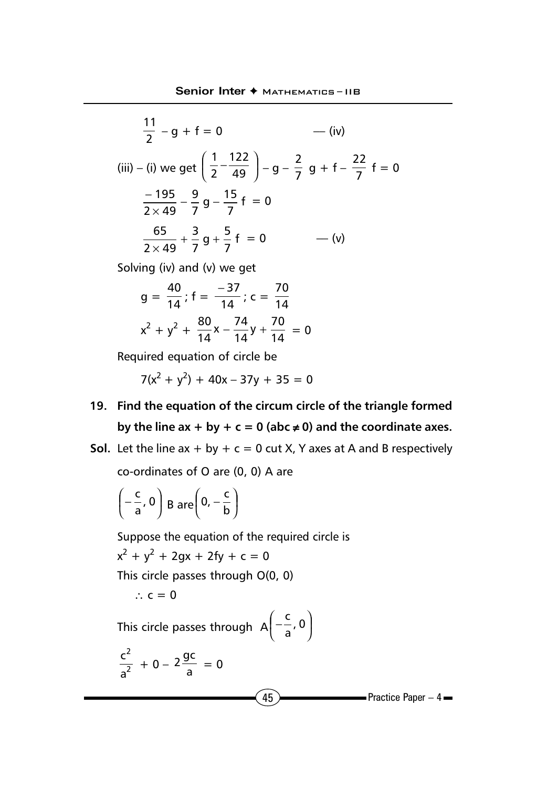$$
\frac{11}{2} - g + f = 0 \qquad \qquad -\text{(iv)}
$$
\n
$$
\text{(iii)} - \text{(i)} \text{ we get } \left(\frac{1}{2} - \frac{122}{49}\right) - g - \frac{2}{7}g + f - \frac{22}{7}f = 0
$$
\n
$$
\frac{-195}{2 \times 49} - \frac{9}{7}g - \frac{15}{7}f = 0
$$
\n
$$
\frac{65}{2 \times 49} + \frac{3}{7}g + \frac{5}{7}f = 0 \qquad \qquad -\text{(v)}
$$

Solving (iv) and (v) we get

$$
g = \frac{40}{14}; f = \frac{-37}{14}; c = \frac{70}{14}
$$

$$
x^2 + y^2 + \frac{80}{14}x - \frac{74}{14}y + \frac{70}{14} = 0
$$

Required equation of circle be

$$
7(x^2 + y^2) + 40x - 37y + 35 = 0
$$

- **19. Find the equation of the circum circle of the triangle formed** by the line  $ax + by + c = 0$  (abc  $\neq 0$ ) and the coordinate axes.
- **Sol.** Let the line  $ax + by + c = 0$  cut X, Y axes at A and B respectively

co-ordinates of O are (0, 0) A are

$$
\left(-\frac{c}{a}, 0\right) B \, \text{are} \left(0, -\frac{c}{b}\right)
$$

Suppose the equation of the required circle is

$$
x^2 + y^2 + 2gx + 2fy + c = 0
$$

This circle passes through O(0, 0)

∴  $c = 0$ 

This circle passes through  $A\left(\begin{matrix} -\frac{1}{a}, 0 \end{matrix}\right)$  $\left( -\frac{c}{2}, 0 \right)$ l  $\left(-\frac{c}{a}, 0\right)$ c  $\overline{a}$ 

$$
\frac{c^2}{a^2} + 0 - 2\frac{gc}{a} = 0
$$

 $(45)$  Practice Paper – 4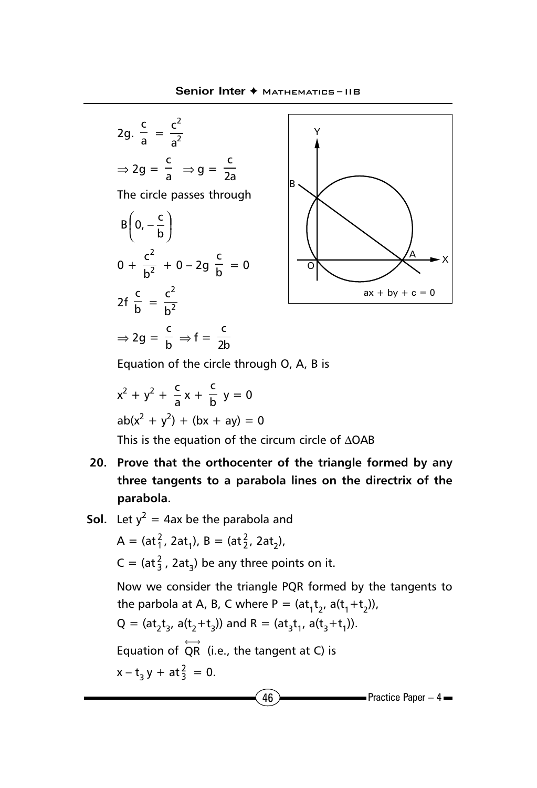



Equation of the circle through O, A, B is

$$
x2 + y2 + \frac{c}{a}x + \frac{c}{b}y = 0
$$
  
ab(x<sup>2</sup> + y<sup>2</sup>) + (bx + ay) = 0

This is the equation of the circum circle of ∆OAB

- **20. Prove that the orthocenter of the triangle formed by any three tangents to a parabola lines on the directrix of the parabola.**
- $46$  Practice Paper 4 **Sol.** Let  $y^2 = 4$ ax be the parabola and A = (at $_1^2$ , 2at<sub>1</sub>), B = (at<sub>2</sub><sup>2</sup>, 2at<sub>2</sub>),  $C = (at_3^2, 2at_3)$  be any three points on it. Now we consider the triangle PQR formed by the tangents to the parbola at A, B, C where P =  $(at_1t_2, a(t_1+t_2))$ ,  $Q = (at_2t_3, a(t_2+t_3))$  and  $R = (at_3t_1, a(t_3+t_1)).$ Equation of  $\overleftrightarrow{QR}$  (i.e., the tangent at C) is  $x - t_3 y + at_3^2 = 0.$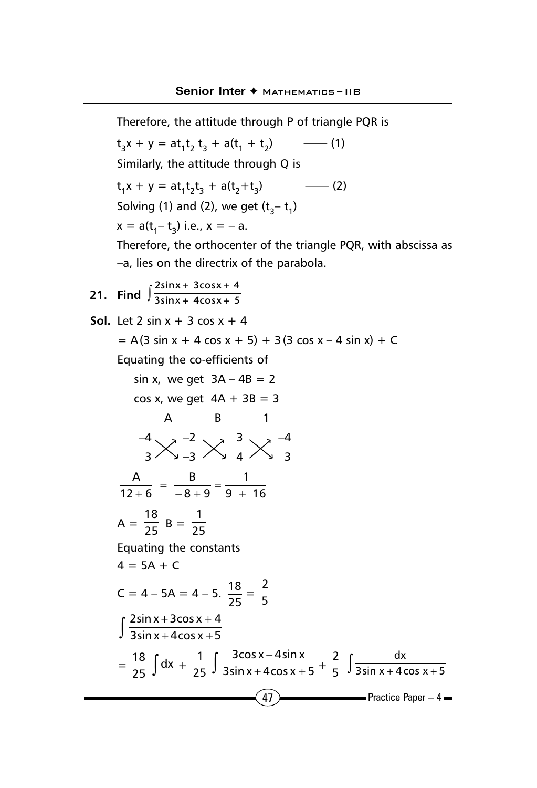$(47)$  Practice Paper – 4 Therefore, the attitude through P of triangle PQR is  $t_2x + y = at_1t_2 t_3 + a(t_1 + t_2)$  —— (1) Similarly, the attitude through Q is t1x + y = at1t2t 3 + a(t2+t3) —— (2) Solving (1) and (2), we get  $(t_2 - t_1)$  $x = a(t_1 - t_3)$  i.e.,  $x = -a$ . Therefore, the orthocenter of the triangle PQR, with abscissa as –a, lies on the directrix of the parabola. **21.** Find  $\int \frac{2\sin x + 3\cos x + 4}{3\sin x + 4\cos x + 5}$ **3sinx + 4cosx + 5 Sol.** Let 2 sin  $x + 3 \cos x + 4$  $= A(3 \sin x + 4 \cos x + 5) + 3(3 \cos x - 4 \sin x) + C$ Equating the co-efficients of sin x, we get  $3A - 4B = 2$ cos x, we get  $4A + 3B = 3$ A B 1  $-4$   $-2$   $-2$   $-3$   $-4$  $3$   $\vee$   $\rightarrow$   $-3$   $\vee$   $\rightarrow$   $4$   $\vee$   $\rightarrow$   $3$ 9 + 16 1  $8 + 9$ B  $12 + 6$  $\frac{A}{+6} = \frac{B}{-8+9} = \frac{4}{9+1}$  $A = \frac{18}{25} B = \frac{1}{25}$ Equating the constants  $4 = 5A + C$  $C = 4 - 5A = 4 - 5.$   $\frac{18}{25} = \frac{2}{5}$  $\int \frac{2\sin x + 3\cos x +}{3\sin x + 4\cos x +}$  $3\sin x + 4\cos x + 5$  $2\sin x + 3\cos x + 4$  $=\frac{18}{25}\int dx + \frac{1}{25}\int \frac{3\cos x - 4\sin x}{3\sin x + 4\cos x + 4\cos x}$  $3\sin x + 4\cos x + 5$ 3cos x – 4sin x  $+\frac{2}{5}\int \frac{dx}{3\sin x + 4\cos x + 5}$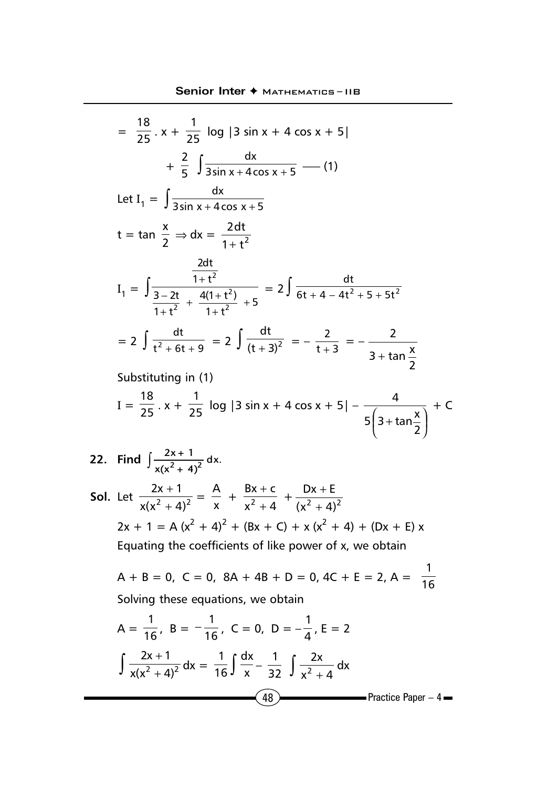$$
= \frac{18}{25} \cdot x + \frac{1}{25} \log |3 \sin x + 4 \cos x + 5|
$$
  
+  $\frac{2}{5} \int \frac{dx}{3 \sin x + 4 \cos x + 5} \qquad (1)$   
Let  $I_1 = \int \frac{dx}{3 \sin x + 4 \cos x + 5}$   
 $t = \tan \frac{x}{2} \Rightarrow dx = \frac{2dt}{1 + t^2}$   

$$
I_1 = \int \frac{\frac{2dt}{1 + t^2}}{\frac{3 - 2t}{1 + t^2} + \frac{4(1 + t^2)}{1 + t^2} + 5} = 2 \int \frac{dt}{6t + 4 - 4t^2 + 5 + 5t^2}
$$
  
=  $2 \int \frac{dt}{t^2 + 6t + 9} = 2 \int \frac{dt}{(t + 3)^2} = -\frac{2}{t + 3} = -\frac{2}{3 + \tan \frac{x}{2}}$ 

Substituting in (1)

$$
I = \frac{18}{25} \cdot x + \frac{1}{25} \log |3 \sin x + 4 \cos x + 5| - \frac{4}{5 \left(3 + \tan \frac{x}{2}\right)} + C
$$

- **22.** Find  $\int \frac{2x+1}{\sqrt{x^2+4}x^2} dx$ .  $x(x^2 + 4)$
- **Sol.** Let  $\frac{2x+1}{x(x^2+4)^2}$  $\frac{+1}{(x+4)^2} = \frac{A}{x} + \frac{Bx + c}{x^2 + 4}$  $Bx + c$  $2^{+}$  $\frac{+ c}{+ 4}$  +  $\frac{Dx + E}{(x^2 + 4)^2}$ + +  $2x + 1 = A (x<sup>2</sup> + 4)<sup>2</sup> + (Bx + C) + x (x<sup>2</sup> + 4) + (Dx + E) x$ Equating the coefficients of like power of x, we obtain
	- $A + B = 0$ ,  $C = 0$ ,  $8A + 4B + D = 0$ ,  $4C + E = 2$ ,  $A = \frac{1}{16}$ Solving these equations, we obtain

$$
A = \frac{1}{16}, \ B = -\frac{1}{16}, \ C = 0, \ D = -\frac{1}{4}, \ E = 2
$$
  

$$
\int \frac{2x + 1}{x(x^2 + 4)^2} dx = \frac{1}{16} \int \frac{dx}{x} - \frac{1}{32} \int \frac{2x}{x^2 + 4} dx
$$
  
(48) Practice Paper - 4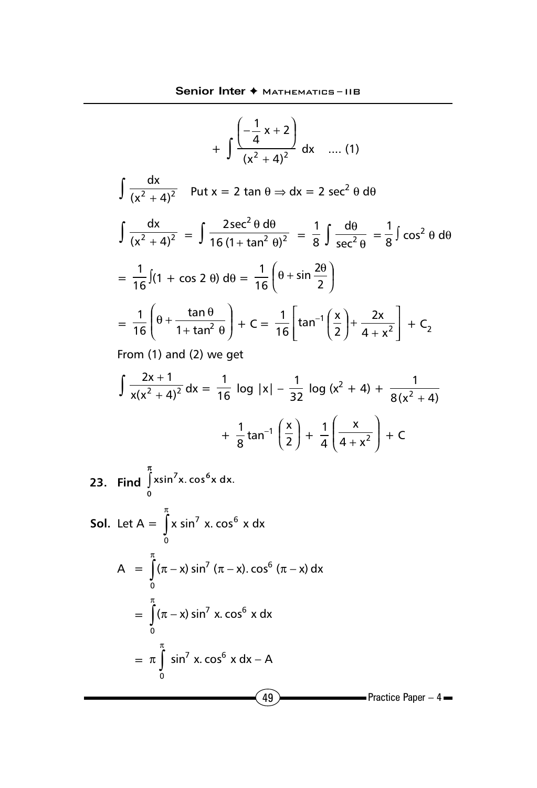$$
+\int \frac{1}{(x^2 + 4)^2} dx \quad .... (1)
$$
\n
$$
\int \frac{dx}{(x^2 + 4)^2} \quad \text{Put } x = 2 \tan \theta \Rightarrow dx = 2 \sec^2 \theta \, d\theta
$$
\n
$$
\int \frac{dx}{(x^2 + 4)^2} = \int \frac{2 \sec^2 \theta \, d\theta}{16 (1 + \tan^2 \theta)^2} = \frac{1}{8} \int \frac{d\theta}{\sec^2 \theta} = \frac{1}{8} \int \cos^2 \theta \, d\theta
$$
\n
$$
= \frac{1}{16} \int (1 + \cos 2 \theta) \, d\theta = \frac{1}{16} \left(\theta + \sin \frac{2\theta}{2}\right)
$$
\n
$$
= \frac{1}{16} \left(\theta + \frac{\tan \theta}{1 + \tan^2 \theta}\right) + C = \frac{1}{16} \left[\tan^{-1}\left(\frac{x}{2}\right) + \frac{2x}{4 + x^2}\right] + C_2
$$
\nFrom (1) and (2) we get\n
$$
\int \frac{2x + 1}{x(x^2 + 4)^2} dx = \frac{1}{16} \log|x| - \frac{1}{32} \log(x^2 + 4) + \frac{1}{8(x^2 + 4)}
$$
\n
$$
+ \frac{1}{8} \tan^{-1}\left(\frac{x}{2}\right) + \frac{1}{4} \left(\frac{x}{4 + x^2}\right) + C
$$
\n23. Find  $\int_0^{\pi} x \sin^7 x \cdot \cos^6 x \, dx$ .  
\nSoI. Let  $A = \int_0^{\pi} x \sin^7 x \cdot \cos^6 x \, dx$   
\n
$$
A = \int_0^{\pi} (\pi - x) \sin^7 (\pi - x) \cdot \cos^6 (\pi - x) \, dx
$$
\n
$$
= \int_0^{\pi} (\pi - x) \sin^7 x \cdot \cos^6 x \, dx
$$
\n
$$
= \pi \int_0^{\pi} \sin^7 x \cdot \cos^6 x \, dx - A
$$

 $\left(49\right)$  Practice Paper – 4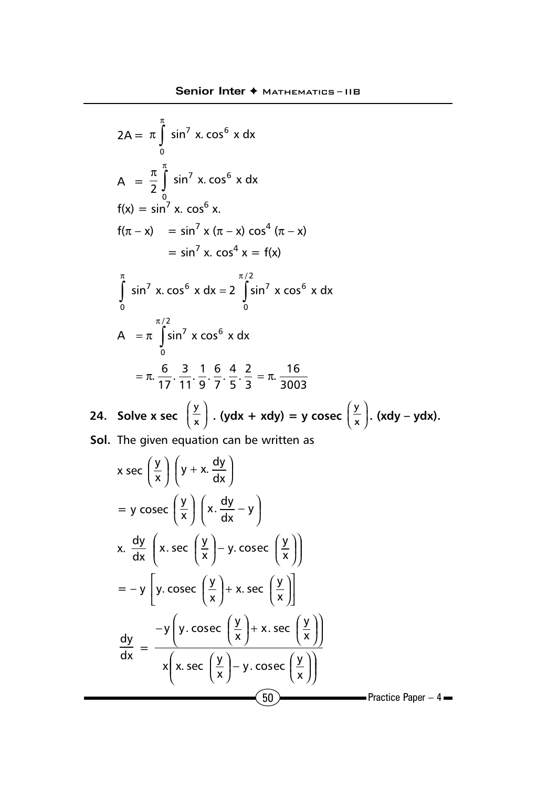$$
2A = \pi \int_{0}^{\pi} \sin^{7} x \cdot \cos^{6} x \, dx
$$
\n
$$
A = \frac{\pi}{2} \int_{0}^{\pi} \sin^{7} x \cdot \cos^{6} x \, dx
$$
\n
$$
f(x) = \sin^{7} x \cdot \cos^{6} x.
$$
\n
$$
f(\pi - x) = \sin^{7} x \cdot (\pi - x) \cos^{4} (\pi - x)
$$
\n
$$
= \sin^{7} x \cdot \cos^{4} x = f(x)
$$
\n
$$
\int_{0}^{\pi} \sin^{7} x \cdot \cos^{6} x \, dx = 2 \int_{0}^{\pi/2} \sin^{7} x \cos^{6} x \, dx
$$
\n
$$
= \pi \cdot \frac{6}{17} \cdot \frac{3}{11} \cdot \frac{1}{9} \cdot \frac{6}{7} \cdot \frac{4}{5} \cdot \frac{2}{3} = \pi \cdot \frac{16}{3003}
$$
\n24. Solve  $x \sec \left(\frac{y}{x}\right) \cdot (ydx + xdy) = y \csc \left(\frac{y}{x}\right) \cdot (xdy - ydx).$   
\nSol. The given equation can be written as\n
$$
x \sec \left(\frac{y}{x}\right) \left(y + x \cdot \frac{dy}{dx}\right)
$$
\n
$$
= y \csc \left(\frac{y}{x}\right) \left(x \cdot \frac{dy}{dx} - y\right)
$$
\n
$$
x \cdot \frac{dy}{dx} \left(x \cdot \sec \left(\frac{y}{x}\right) - y \cdot \csc \left(\frac{y}{x}\right)\right)
$$
\n
$$
= -y \left[y \cdot \csc \left(\frac{y}{x}\right) + x \cdot \sec \left(\frac{y}{x}\right)\right]
$$
\n
$$
\frac{dy}{dx} = \frac{-y \left(y \cdot \csc \left(\frac{y}{x}\right) + x \cdot \sec \left(\frac{y}{x}\right)\right)}{x \left(x \cdot \sec \left(\frac{y}{x}\right) - y \cdot \csc \left(\frac{y}{x}\right)\right)}
$$
\nPractice Paper -4